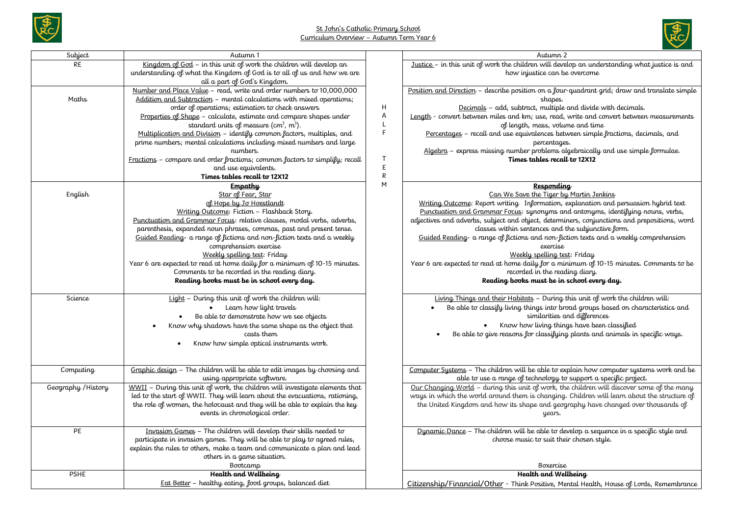





| Subject             | Autumn 1                                                                                                                                              |              | Autumn 2                                                                                                              |
|---------------------|-------------------------------------------------------------------------------------------------------------------------------------------------------|--------------|-----------------------------------------------------------------------------------------------------------------------|
| <b>RE</b>           | Kingdom of God - in this unit of work the children will develop an                                                                                    |              | Justice - in this unit of work the children will develop an understanding what justice is and                         |
|                     | understanding of what the Kingdom of God is to all of us and how we are                                                                               |              | how injustice can be overcome                                                                                         |
|                     | all a part of God's Kingdom.                                                                                                                          |              |                                                                                                                       |
|                     | Number and Place Value - read, write and order numbers to 10,000,000                                                                                  |              | Position and Direction - describe position on a four-quadrant grid; draw and translate simple                         |
| Maths               | Addition and Subtraction - mental calculations with mixed operations;                                                                                 |              | shapes.                                                                                                               |
|                     | order of operations; estimation to check answers                                                                                                      | H<br>Α       | Decimals - add, subtract, multiple and divide with decimals.                                                          |
|                     | Properties of Shape - calculate, estimate and compare shapes under<br>standard units of measure (cm <sup>3</sup> , m <sup>3</sup> ).                  | L            | Length - convert between miles and km; use, read, write and convert between measurements                              |
|                     | Multiplication and Division - identify common factors, multiples, and                                                                                 | F            | of length, mass, volume and time<br>Percentages - recall and use equivalences between simple fractions, decimals, and |
|                     | prime numbers; mental calculations including mixed numbers and large                                                                                  |              | percentages.                                                                                                          |
|                     | numbers.                                                                                                                                              |              | Algebra - express missing number problems algebraically and use simple formulae.                                      |
|                     | $Fractions - compare$ and order fractions; common factors to simplify; recall                                                                         | T            | Times tables recall to 12X12                                                                                          |
|                     | and use equivalents.                                                                                                                                  | E            |                                                                                                                       |
|                     | Times tables recall to 12X12                                                                                                                          | $\mathsf{R}$ |                                                                                                                       |
|                     | Empathy                                                                                                                                               | M            | Responding                                                                                                            |
| English             | Star of Fear, Star                                                                                                                                    |              | Can We Save the Tiger by Martin Jenkins                                                                               |
|                     | of Hope by Jo Hoestlandt                                                                                                                              |              | Writing Outcome: Report writing Information, explanation and persuasion hybrid text                                   |
|                     | Writing Outcome: Fiction - Flashback Story.                                                                                                           |              | Punctuation and Grammar Focus: synonyms and antonyms, identifying nouns, verbs,                                       |
|                     | Punctuation and Grammar Focus: relative clauses, modal verbs, adverbs,                                                                                |              | adjectives and adverbs, subject and object, determiners, conjunctions and prepositions, word                          |
|                     | parenthesis, expanded noun phrases, commas, past and present tense.                                                                                   |              | classes within sentences and the subjunctive form.                                                                    |
|                     | Guided Reading a range of fictions and non-fiction texts and a weekly<br>comprehension exercise                                                       |              | Guided Reading- a range of fictions and non-fiction texts and a weekly comprehension<br>exercise                      |
|                     | Weekly spelling test: Friday                                                                                                                          |              | Weekly spelling test: Friday                                                                                          |
|                     | Year 6 are expected to read at home daily for a minimum of 10-15 minutes.                                                                             |              | Year 6 are expected to read at home daily for a minimum of 10-15 minutes. Comments to be                              |
|                     | Comments to be recorded in the reading diary.                                                                                                         |              | recorded in the reading diary.                                                                                        |
|                     | Reading books must be in school every day.                                                                                                            |              | Reading books must be in school every day.                                                                            |
|                     |                                                                                                                                                       |              |                                                                                                                       |
| Science             | Light - During this unit of work the children will:                                                                                                   |              | Living Things and their Habitats - During this unit of work the children will:                                        |
|                     | Learn how light travels                                                                                                                               |              | Be able to classify living things into broad groups based on characteristics and                                      |
|                     | Be able to demonstrate how we see objects                                                                                                             |              | similarities and differences                                                                                          |
|                     | Know why shadows have the same shape as the object that                                                                                               |              | Know how living things have been classified                                                                           |
|                     | casts them                                                                                                                                            |              | Be able to give reasons for classifying plants and animals in specific ways.                                          |
|                     | Know how simple optical instruments work.                                                                                                             |              |                                                                                                                       |
|                     |                                                                                                                                                       |              |                                                                                                                       |
| Computing           | Graphic design - The children will be able to edit images by choosing and                                                                             |              | Computer Systems - The children will be able to explain how computer systems work and be                              |
|                     | using appropriate software.                                                                                                                           |              | able to use a range of technology to support a specific project.                                                      |
| Geography / History | WWII - During this unit of work, the children will investigate elements that                                                                          |              | Our Changing World - during this unit of work, the children will discover some of the many                            |
|                     | led to the start of WWII. They will learn about the evacuations, rationing,                                                                           |              | ways in which the world around them is changing. Children will learn about the structure of                           |
|                     | the role of women, the holocaust and they will be able to explain the key                                                                             |              | the United Kingdom and how its shape and geography have changed over thousands of                                     |
|                     | events in chronological order.                                                                                                                        |              | years.                                                                                                                |
|                     |                                                                                                                                                       |              |                                                                                                                       |
| PE                  | Invasion Games - The children will develop their skills needed to                                                                                     |              | Dynamic Dance - The children will be able to develop a sequence in a specific style and                               |
|                     | participate in invasion games. They will be able to play to agreed rules,<br>explain the rules to others, make a team and communicate a plan and lead |              | choose music to suit their chosen style.                                                                              |
|                     | others in a game situation.                                                                                                                           |              |                                                                                                                       |
|                     | Bootcamp                                                                                                                                              |              | <b>Boxercise</b>                                                                                                      |
| <b>PSHE</b>         | Health and Wellbeing                                                                                                                                  |              | Health and Wellbeing                                                                                                  |
|                     | Eat Better - healthy eating, food groups, balanced diet                                                                                               |              | Citizenship/Financial/Other - Think Positive, Mental Health, House of Lords, Remembrance                              |
|                     |                                                                                                                                                       |              |                                                                                                                       |